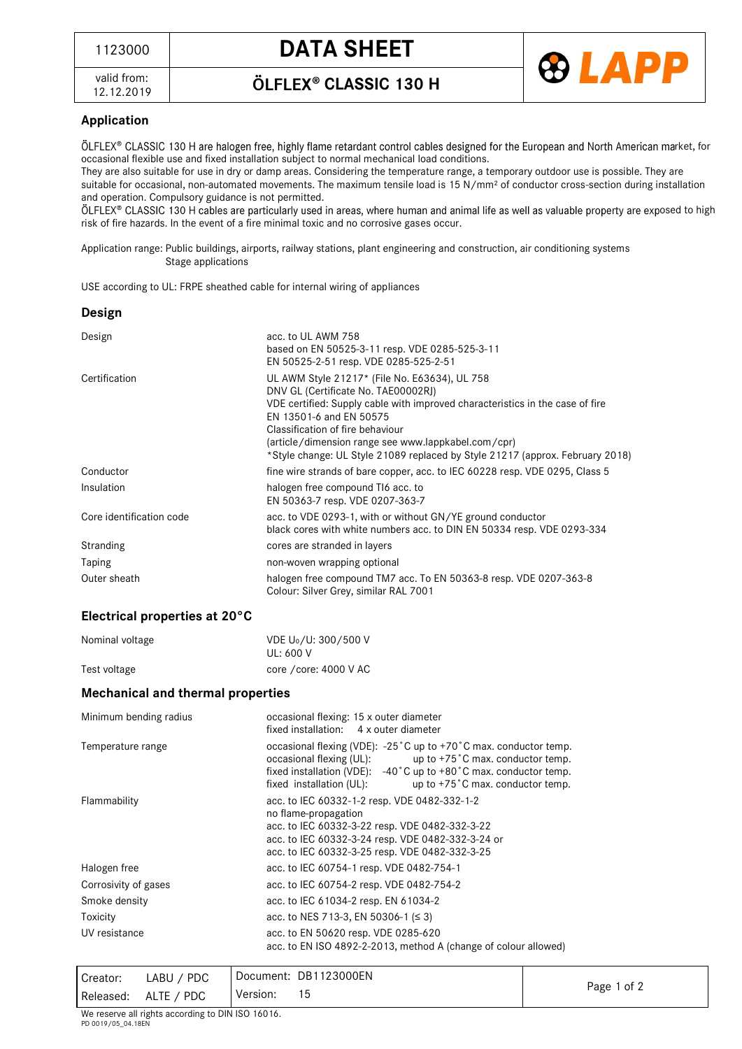

valid from:<br>12.12.2019

### **Application**

ÖLFLEX® CLASSIC 130 H are halogen free, highly flame retardant control cables designed for the European and North American market, for occasional flexible use and fixed installation subject to normal mechanical load conditions.

They are also suitable for use in dry or damp areas. Considering the temperature range, a temporary outdoor use is possible. They are suitable for occasional, non-automated movements. The maximum tensile load is 15 N/mm<sup>2</sup> of conductor cross-section during installation and operation. Compulsory guidance is not permitted.

ÖLFLEX® CLASSIC 130 H cables are particularly used in areas, where human and animal life as well as valuable property are exposed to high risk of fire hazards. In the event of a fire minimal toxic and no corrosive gases occur.

Application range: Public buildings, airports, railway stations, plant engineering and construction, air conditioning systems Stage applications

USE according to UL: FRPE sheathed cable for internal wiring of appliances

#### **Design**

| Design                   | acc. to UL AWM 758                                                            |
|--------------------------|-------------------------------------------------------------------------------|
|                          | based on EN 50525-3-11 resp. VDE 0285-525-3-11                                |
|                          | EN 50525-2-51 resp. VDE 0285-525-2-51                                         |
| Certification            | UL AWM Style 21217* (File No. E63634), UL 758                                 |
|                          | DNV GL (Certificate No. TAE00002RJ)                                           |
|                          | VDE certified: Supply cable with improved characteristics in the case of fire |
|                          | EN 13501-6 and EN 50575                                                       |
|                          | Classification of fire behaviour                                              |
|                          | (article/dimension range see www.lappkabel.com/cpr)                           |
|                          | *Style change: UL Style 21089 replaced by Style 21217 (approx. February 2018) |
|                          |                                                                               |
| Conductor                | fine wire strands of bare copper, acc. to IEC 60228 resp. VDE 0295, Class 5   |
| Insulation               | halogen free compound T16 acc. to                                             |
|                          | EN 50363-7 resp. VDE 0207-363-7                                               |
| Core identification code | acc. to VDE 0293-1, with or without GN/YE ground conductor                    |
|                          | black cores with white numbers acc. to DIN EN 50334 resp. VDE 0293-334        |
| Stranding                | cores are stranded in layers                                                  |
|                          |                                                                               |
| Taping                   | non-woven wrapping optional                                                   |
| Outer sheath             | halogen free compound TM7 acc. To EN 50363-8 resp. VDE 0207-363-8             |
|                          | Colour: Silver Grey, similar RAL 7001                                         |

#### **Electrical properties at 20°C**

| Nominal voltage | VDE U <sub>0</sub> /U: 300/500 V<br>UL: 600 V |
|-----------------|-----------------------------------------------|
| Test voltage    | core / core: 4000 V AC                        |

#### **Mechanical and thermal properties**

| Minimum bending radius | occasional flexing: 15 x outer diameter<br>fixed installation: 4 x outer diameter                                                                                                                                                                                                                                                                                                    |  |
|------------------------|--------------------------------------------------------------------------------------------------------------------------------------------------------------------------------------------------------------------------------------------------------------------------------------------------------------------------------------------------------------------------------------|--|
| Temperature range      | occasional flexing (VDE): $-25^{\circ}$ C up to $+70^{\circ}$ C max. conductor temp.<br>occasional flexing (UL): up to +75°C max. conductor temp.<br>fixed installation (VDE): $-40^{\circ}$ C up to $+80^{\circ}$ C max. conductor temp.<br>up to +75°C max. conductor temp.<br>fixed installation (UL):                                                                            |  |
| Flammability           | acc. to IEC 60332-1-2 resp. VDE 0482-332-1-2<br>no flame-propagation<br>acc. to IEC 60332-3-22 resp. VDE 0482-332-3-22<br>acc. to IEC 60332-3-24 resp. VDE 0482-332-3-24 or<br>acc. to IEC 60332-3-25 resp. VDE 0482-332-3-25                                                                                                                                                        |  |
| Halogen free           | acc. to IEC 60754-1 resp. VDE 0482-754-1                                                                                                                                                                                                                                                                                                                                             |  |
| Corrosivity of gases   | acc. to IEC 60754-2 resp. VDE 0482-754-2                                                                                                                                                                                                                                                                                                                                             |  |
| Smoke density          | acc. to IEC 61034-2 resp. EN 61034-2                                                                                                                                                                                                                                                                                                                                                 |  |
| Toxicity               | acc. to NES 713-3, EN 50306-1 (≤ 3)                                                                                                                                                                                                                                                                                                                                                  |  |
| UV resistance          | acc. to EN 50620 resp. VDE 0285-620<br>acc. to EN ISO 4892-2-2013, method A (change of colour allowed)                                                                                                                                                                                                                                                                               |  |
| $\sim$                 | $\overline{a}$ $\overline{a}$ $\overline{a}$ $\overline{a}$ $\overline{a}$ $\overline{a}$ $\overline{a}$ $\overline{a}$ $\overline{a}$ $\overline{a}$ $\overline{a}$ $\overline{a}$ $\overline{a}$ $\overline{a}$ $\overline{a}$ $\overline{a}$ $\overline{a}$ $\overline{a}$ $\overline{a}$ $\overline{a}$ $\overline{a}$ $\overline{a}$ $\overline{a}$ $\overline{a}$ $\overline{$ |  |

Creator: LABU / PDC Released: ALTE / PDC Document: DB1123000EN Version: <sup>15</sup> Page <sup>1</sup> of <sup>2</sup>